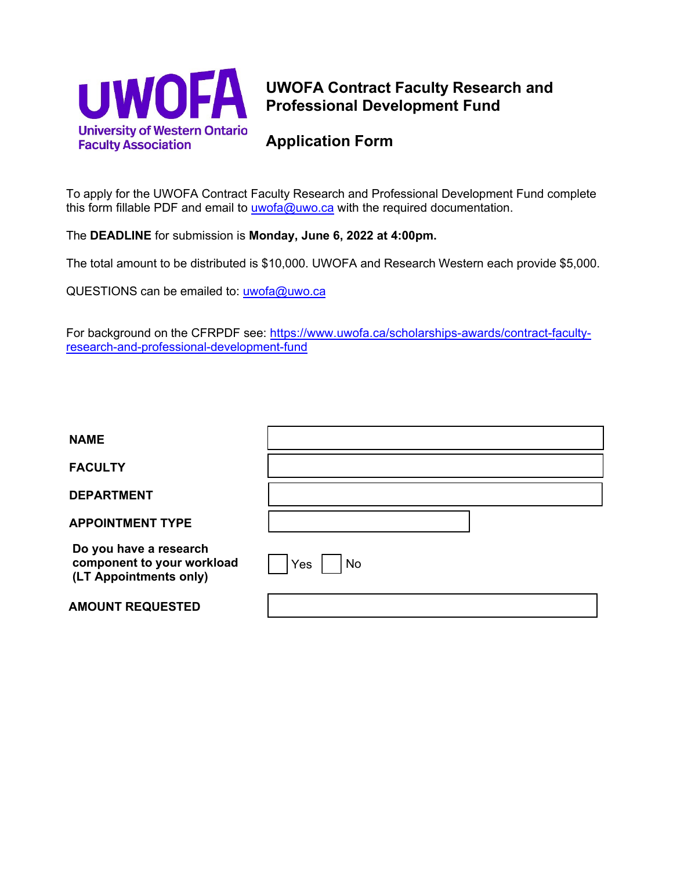

## **UWOFA Contract Faculty Research and Professional Development Fund**

## **Application Form**

To apply for the UWOFA Contract Faculty Research and Professional Development Fund complete this form fillable PDF and email to  $uwofa@uwo.ca$  with the required documentation.

The **DEADLINE** for submission is **Monday, June 6, 2022 at 4:00pm.**

The total amount to be distributed is \$10,000. UWOFA and Research Western each provide \$5,000.

QUESTIONS can be emailed to: u[wofa@uwo.ca](mailto:uwofa@uwo.ca)

For background on the CFRPDF see: https://www.uwofa.ca/[scholarships-awards/cont](https://www.uwofa.ca/scholarships-awards/contract-faculty-research-and-professional-development-fund/)ract-faculty[research-and-professional-development-fund](https://www.uwofa.ca/contract-faculty-research-and-professional-development-fund) 

| <b>NAME</b>                                                                    |           |
|--------------------------------------------------------------------------------|-----------|
| <b>FACULTY</b>                                                                 |           |
| <b>DEPARTMENT</b>                                                              |           |
| <b>APPOINTMENT TYPE</b>                                                        |           |
| Do you have a research<br>component to your workload<br>(LT Appointments only) | No<br>Yes |
| <b>AMOUNT REQUESTED</b>                                                        |           |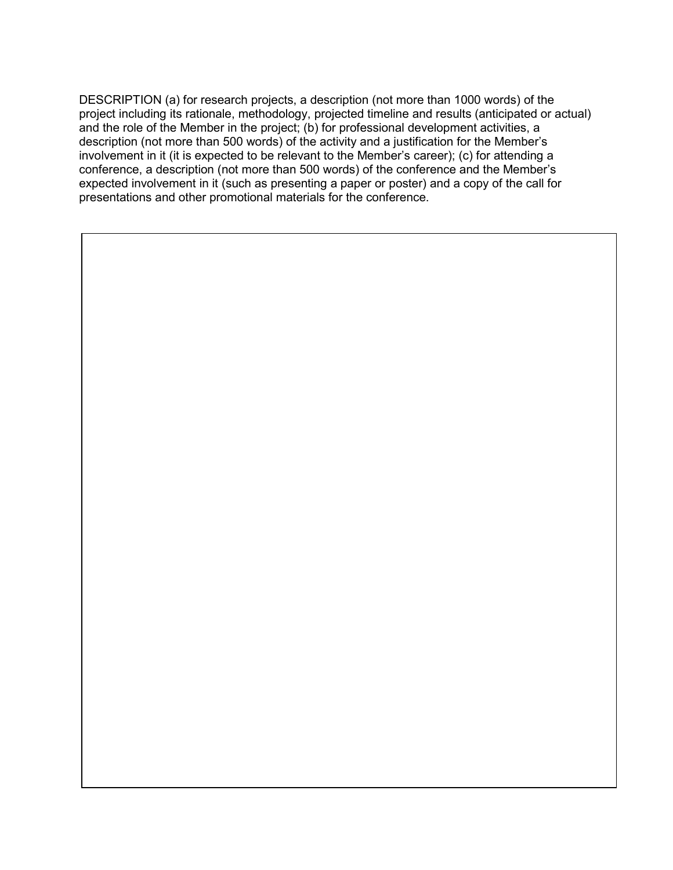DESCRIPTION (a) for research projects, a description (not more than 1000 words) of the project including its rationale, methodology, projected timeline and results (anticipated or actual) and the role of the Member in the project; (b) for professional development activities, a description (not more than 500 words) of the activity and a justification for the Member's involvement in it (it is expected to be relevant to the Member's career); (c) for attending a conference, a description (not more than 500 words) of the conference and the Member's expected involvement in it (such as presenting a paper or poster) and a copy of the call for presentations and other promotional materials for the conference.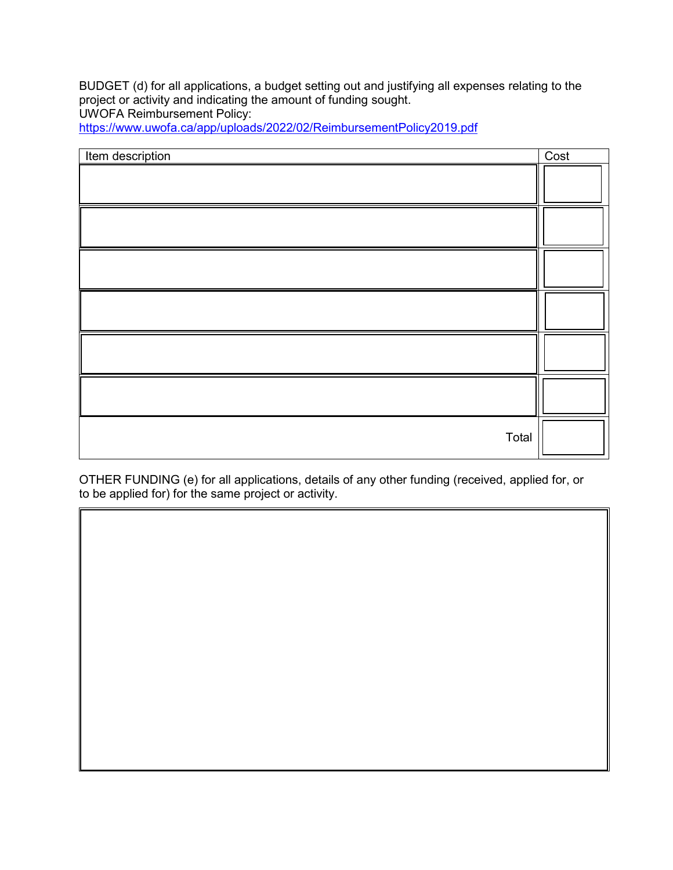BUDGET (d) for all applications, a budget setting out and justifying all expenses relating to the project or activity and indicating the amount of funding sought. UWOFA Reimbursement Policy:

<https://www.uwofa.ca/app/uploads/2022/02/ReimbursementPolicy2019.pdf>

| Item description | Cost |
|------------------|------|
|                  |      |
|                  |      |
|                  |      |
|                  |      |
|                  |      |
|                  |      |
| Total            |      |

OTHER FUNDING (e) for all applications, details of any other funding (received, applied for, or to be applied for) for the same project or activity.